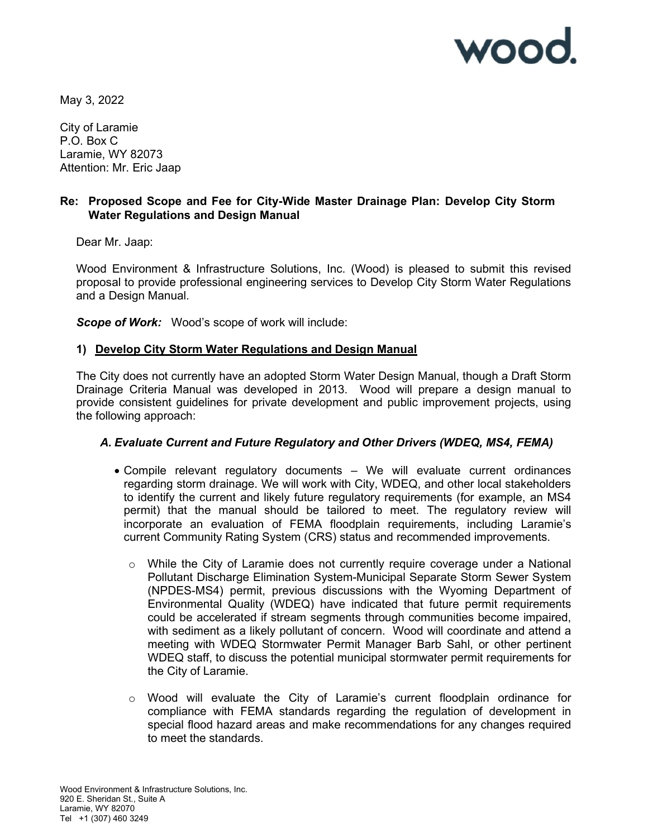

May 3, 2022

City of Laramie P.O. Box C Laramie, WY 82073 Attention: Mr. Eric Jaap

## Re: Proposed Scope and Fee for City-Wide Master Drainage Plan: Develop City Storm Water Regulations and Design Manual

Dear Mr. Jaap:

Wood Environment & Infrastructure Solutions, Inc. (Wood) is pleased to submit this revised proposal to provide professional engineering services to Develop City Storm Water Regulations and a Design Manual.

Scope of Work: Wood's scope of work will include:

## 1) Develop City Storm Water Regulations and Design Manual

The City does not currently have an adopted Storm Water Design Manual, though a Draft Storm Drainage Criteria Manual was developed in 2013. Wood will prepare a design manual to provide consistent guidelines for private development and public improvement projects, using the following approach:

## A. Evaluate Current and Future Regulatory and Other Drivers (WDEQ, MS4, FEMA)

- Compile relevant regulatory documents We will evaluate current ordinances regarding storm drainage. We will work with City, WDEQ, and other local stakeholders to identify the current and likely future regulatory requirements (for example, an MS4 permit) that the manual should be tailored to meet. The regulatory review will incorporate an evaluation of FEMA floodplain requirements, including Laramie's current Community Rating System (CRS) status and recommended improvements.
	- $\circ$  While the City of Laramie does not currently require coverage under a National Pollutant Discharge Elimination System-Municipal Separate Storm Sewer System (NPDES-MS4) permit, previous discussions with the Wyoming Department of Environmental Quality (WDEQ) have indicated that future permit requirements could be accelerated if stream segments through communities become impaired, with sediment as a likely pollutant of concern. Wood will coordinate and attend a meeting with WDEQ Stormwater Permit Manager Barb Sahl, or other pertinent WDEQ staff, to discuss the potential municipal stormwater permit requirements for the City of Laramie.
	- o Wood will evaluate the City of Laramie's current floodplain ordinance for compliance with FEMA standards regarding the regulation of development in special flood hazard areas and make recommendations for any changes required to meet the standards.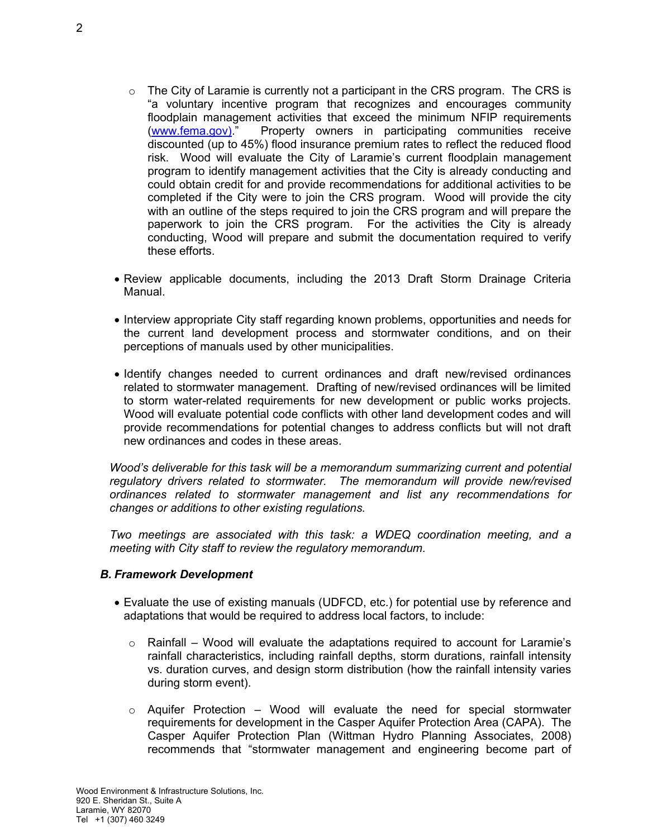- $\circ$  The City of Laramie is currently not a participant in the CRS program. The CRS is "a voluntary incentive program that recognizes and encourages community floodplain management activities that exceed the minimum NFIP requirements (www.fema.gov)." Property owners in participating communities receive discounted (up to 45%) flood insurance premium rates to reflect the reduced flood risk. Wood will evaluate the City of Laramie's current floodplain management program to identify management activities that the City is already conducting and could obtain credit for and provide recommendations for additional activities to be completed if the City were to join the CRS program. Wood will provide the city with an outline of the steps required to join the CRS program and will prepare the paperwork to join the CRS program. For the activities the City is already conducting, Wood will prepare and submit the documentation required to verify these efforts.
- Review applicable documents, including the 2013 Draft Storm Drainage Criteria Manual.
- Interview appropriate City staff regarding known problems, opportunities and needs for the current land development process and stormwater conditions, and on their perceptions of manuals used by other municipalities.
- Identify changes needed to current ordinances and draft new/revised ordinances related to stormwater management. Drafting of new/revised ordinances will be limited to storm water-related requirements for new development or public works projects. Wood will evaluate potential code conflicts with other land development codes and will provide recommendations for potential changes to address conflicts but will not draft new ordinances and codes in these areas.

Wood's deliverable for this task will be a memorandum summarizing current and potential regulatory drivers related to stormwater. The memorandum will provide new/revised ordinances related to stormwater management and list any recommendations for changes or additions to other existing regulations.

Two meetings are associated with this task: a WDEQ coordination meeting, and a meeting with City staff to review the regulatory memorandum.

#### B. Framework Development

- Evaluate the use of existing manuals (UDFCD, etc.) for potential use by reference and adaptations that would be required to address local factors, to include:
	- $\circ$  Rainfall Wood will evaluate the adaptations required to account for Laramie's rainfall characteristics, including rainfall depths, storm durations, rainfall intensity vs. duration curves, and design storm distribution (how the rainfall intensity varies during storm event).
	- $\circ$  Aquifer Protection Wood will evaluate the need for special stormwater requirements for development in the Casper Aquifer Protection Area (CAPA). The Casper Aquifer Protection Plan (Wittman Hydro Planning Associates, 2008) recommends that "stormwater management and engineering become part of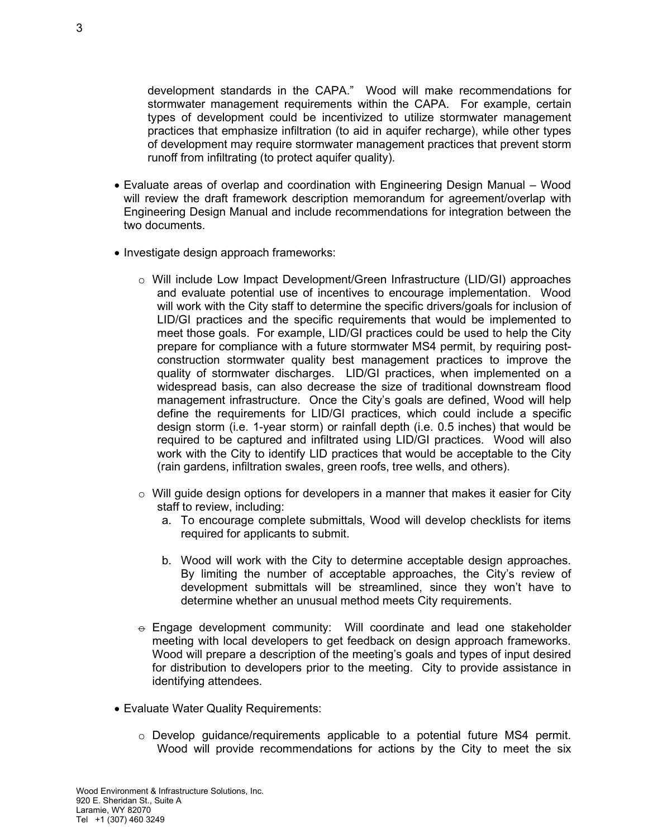development standards in the CAPA." Wood will make recommendations for stormwater management requirements within the CAPA. For example, certain types of development could be incentivized to utilize stormwater management practices that emphasize infiltration (to aid in aquifer recharge), while other types of development may require stormwater management practices that prevent storm runoff from infiltrating (to protect aquifer quality).

- Evaluate areas of overlap and coordination with Engineering Design Manual Wood will review the draft framework description memorandum for agreement/overlap with Engineering Design Manual and include recommendations for integration between the two documents.
- Investigate design approach frameworks:
	- o Will include Low Impact Development/Green Infrastructure (LID/GI) approaches and evaluate potential use of incentives to encourage implementation. Wood will work with the City staff to determine the specific drivers/goals for inclusion of LID/GI practices and the specific requirements that would be implemented to meet those goals. For example, LID/GI practices could be used to help the City prepare for compliance with a future stormwater MS4 permit, by requiring postconstruction stormwater quality best management practices to improve the quality of stormwater discharges. LID/GI practices, when implemented on a widespread basis, can also decrease the size of traditional downstream flood management infrastructure. Once the City's goals are defined, Wood will help define the requirements for LID/GI practices, which could include a specific design storm (i.e. 1-year storm) or rainfall depth (i.e. 0.5 inches) that would be required to be captured and infiltrated using LID/GI practices. Wood will also work with the City to identify LID practices that would be acceptable to the City (rain gardens, infiltration swales, green roofs, tree wells, and others).
	- $\circ$  Will guide design options for developers in a manner that makes it easier for City staff to review, including:
		- a. To encourage complete submittals, Wood will develop checklists for items required for applicants to submit.
		- b. Wood will work with the City to determine acceptable design approaches. By limiting the number of acceptable approaches, the City's review of development submittals will be streamlined, since they won't have to determine whether an unusual method meets City requirements.
	- $\div$  Engage development community: Will coordinate and lead one stakeholder meeting with local developers to get feedback on design approach frameworks. Wood will prepare a description of the meeting's goals and types of input desired for distribution to developers prior to the meeting. City to provide assistance in identifying attendees.
- Evaluate Water Quality Requirements:
	- $\circ$  Develop guidance/requirements applicable to a potential future MS4 permit. Wood will provide recommendations for actions by the City to meet the six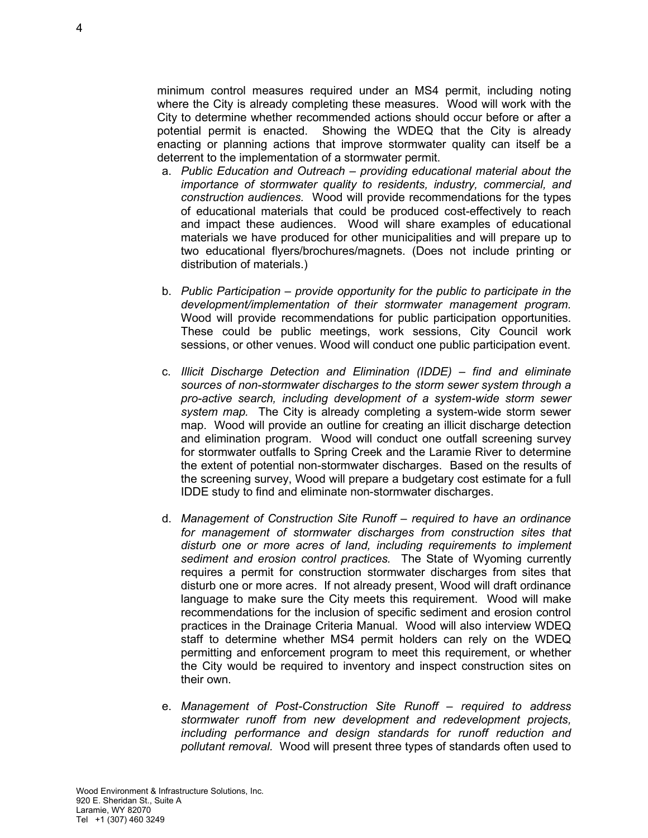minimum control measures required under an MS4 permit, including noting where the City is already completing these measures. Wood will work with the City to determine whether recommended actions should occur before or after a potential permit is enacted. Showing the WDEQ that the City is already enacting or planning actions that improve stormwater quality can itself be a deterrent to the implementation of a stormwater permit.

- a. Public Education and Outreach providing educational material about the importance of stormwater quality to residents, industry, commercial, and construction audiences. Wood will provide recommendations for the types of educational materials that could be produced cost-effectively to reach and impact these audiences. Wood will share examples of educational materials we have produced for other municipalities and will prepare up to two educational flyers/brochures/magnets. (Does not include printing or distribution of materials.)
- b. Public Participation provide opportunity for the public to participate in the development/implementation of their stormwater management program. Wood will provide recommendations for public participation opportunities. These could be public meetings, work sessions, City Council work sessions, or other venues. Wood will conduct one public participation event.
- c. Illicit Discharge Detection and Elimination (IDDE) find and eliminate sources of non-stormwater discharges to the storm sewer system through a pro-active search, including development of a system-wide storm sewer system map. The City is already completing a system-wide storm sewer map. Wood will provide an outline for creating an illicit discharge detection and elimination program. Wood will conduct one outfall screening survey for stormwater outfalls to Spring Creek and the Laramie River to determine the extent of potential non-stormwater discharges. Based on the results of the screening survey, Wood will prepare a budgetary cost estimate for a full IDDE study to find and eliminate non-stormwater discharges.
- d. Management of Construction Site Runoff required to have an ordinance for management of stormwater discharges from construction sites that disturb one or more acres of land, including requirements to implement sediment and erosion control practices. The State of Wyoming currently requires a permit for construction stormwater discharges from sites that disturb one or more acres. If not already present, Wood will draft ordinance language to make sure the City meets this requirement. Wood will make recommendations for the inclusion of specific sediment and erosion control practices in the Drainage Criteria Manual. Wood will also interview WDEQ staff to determine whether MS4 permit holders can rely on the WDEQ permitting and enforcement program to meet this requirement, or whether the City would be required to inventory and inspect construction sites on their own.
- e. Management of Post-Construction Site Runoff required to address stormwater runoff from new development and redevelopment projects, including performance and design standards for runoff reduction and pollutant removal. Wood will present three types of standards often used to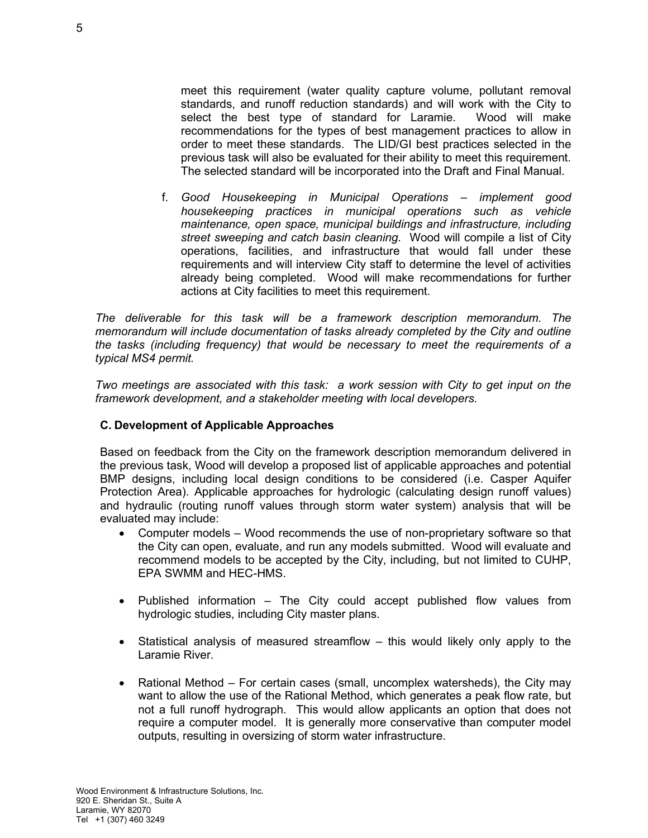meet this requirement (water quality capture volume, pollutant removal standards, and runoff reduction standards) and will work with the City to select the best type of standard for Laramie. Wood will make recommendations for the types of best management practices to allow in order to meet these standards. The LID/GI best practices selected in the previous task will also be evaluated for their ability to meet this requirement. The selected standard will be incorporated into the Draft and Final Manual.

f. Good Housekeeping in Municipal Operations – implement good housekeeping practices in municipal operations such as vehicle maintenance, open space, municipal buildings and infrastructure, including street sweeping and catch basin cleaning. Wood will compile a list of City operations, facilities, and infrastructure that would fall under these requirements and will interview City staff to determine the level of activities already being completed. Wood will make recommendations for further actions at City facilities to meet this requirement.

The deliverable for this task will be a framework description memorandum. The memorandum will include documentation of tasks already completed by the City and outline the tasks (including frequency) that would be necessary to meet the requirements of a typical MS4 permit.

Two meetings are associated with this task: a work session with City to get input on the framework development, and a stakeholder meeting with local developers.

# C. Development of Applicable Approaches

Based on feedback from the City on the framework description memorandum delivered in the previous task, Wood will develop a proposed list of applicable approaches and potential BMP designs, including local design conditions to be considered (i.e. Casper Aquifer Protection Area). Applicable approaches for hydrologic (calculating design runoff values) and hydraulic (routing runoff values through storm water system) analysis that will be evaluated may include:

- Computer models Wood recommends the use of non-proprietary software so that the City can open, evaluate, and run any models submitted. Wood will evaluate and recommend models to be accepted by the City, including, but not limited to CUHP, EPA SWMM and HEC-HMS.
- Published information The City could accept published flow values from hydrologic studies, including City master plans.
- Statistical analysis of measured streamflow this would likely only apply to the Laramie River.
- Rational Method For certain cases (small, uncomplex watersheds), the City may want to allow the use of the Rational Method, which generates a peak flow rate, but not a full runoff hydrograph. This would allow applicants an option that does not require a computer model. It is generally more conservative than computer model outputs, resulting in oversizing of storm water infrastructure.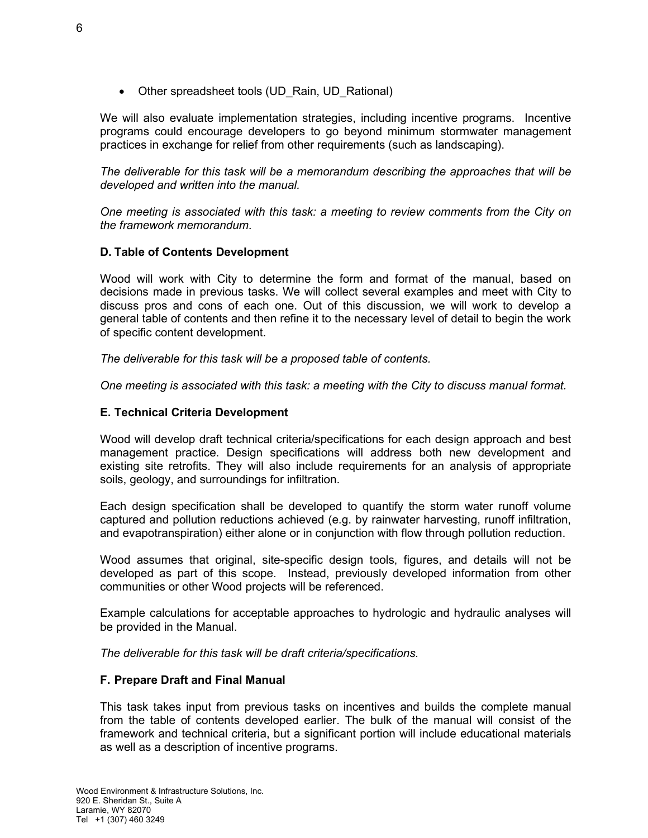• Other spreadsheet tools (UD\_Rain, UD\_Rational)

We will also evaluate implementation strategies, including incentive programs. Incentive programs could encourage developers to go beyond minimum stormwater management practices in exchange for relief from other requirements (such as landscaping).

The deliverable for this task will be a memorandum describing the approaches that will be developed and written into the manual.

One meeting is associated with this task: a meeting to review comments from the City on the framework memorandum.

# D. Table of Contents Development

Wood will work with City to determine the form and format of the manual, based on decisions made in previous tasks. We will collect several examples and meet with City to discuss pros and cons of each one. Out of this discussion, we will work to develop a general table of contents and then refine it to the necessary level of detail to begin the work of specific content development.

The deliverable for this task will be a proposed table of contents.

One meeting is associated with this task: a meeting with the City to discuss manual format.

# E. Technical Criteria Development

Wood will develop draft technical criteria/specifications for each design approach and best management practice. Design specifications will address both new development and existing site retrofits. They will also include requirements for an analysis of appropriate soils, geology, and surroundings for infiltration.

Each design specification shall be developed to quantify the storm water runoff volume captured and pollution reductions achieved (e.g. by rainwater harvesting, runoff infiltration, and evapotranspiration) either alone or in conjunction with flow through pollution reduction.

Wood assumes that original, site-specific design tools, figures, and details will not be developed as part of this scope. Instead, previously developed information from other communities or other Wood projects will be referenced.

Example calculations for acceptable approaches to hydrologic and hydraulic analyses will be provided in the Manual.

The deliverable for this task will be draft criteria/specifications.

## F. Prepare Draft and Final Manual

This task takes input from previous tasks on incentives and builds the complete manual from the table of contents developed earlier. The bulk of the manual will consist of the framework and technical criteria, but a significant portion will include educational materials as well as a description of incentive programs.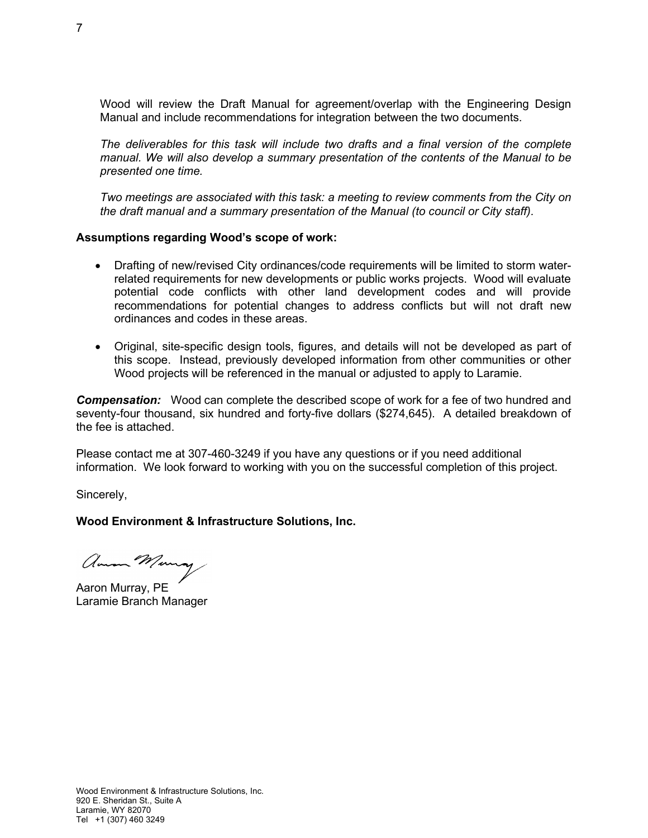Wood will review the Draft Manual for agreement/overlap with the Engineering Design Manual and include recommendations for integration between the two documents.

The deliverables for this task will include two drafts and a final version of the complete manual. We will also develop a summary presentation of the contents of the Manual to be presented one time.

Two meetings are associated with this task: a meeting to review comments from the City on the draft manual and a summary presentation of the Manual (to council or City staff).

#### Assumptions regarding Wood's scope of work:

- Drafting of new/revised City ordinances/code requirements will be limited to storm waterrelated requirements for new developments or public works projects. Wood will evaluate potential code conflicts with other land development codes and will provide recommendations for potential changes to address conflicts but will not draft new ordinances and codes in these areas.
- Original, site-specific design tools, figures, and details will not be developed as part of this scope. Instead, previously developed information from other communities or other Wood projects will be referenced in the manual or adjusted to apply to Laramie.

**Compensation:** Wood can complete the described scope of work for a fee of two hundred and seventy-four thousand, six hundred and forty-five dollars (\$274,645). A detailed breakdown of the fee is attached.

Please contact me at 307-460-3249 if you have any questions or if you need additional information. We look forward to working with you on the successful completion of this project.

Sincerely,

### Wood Environment & Infrastructure Solutions, Inc.

amon Munay

Aaron Murray, PE Laramie Branch Manager